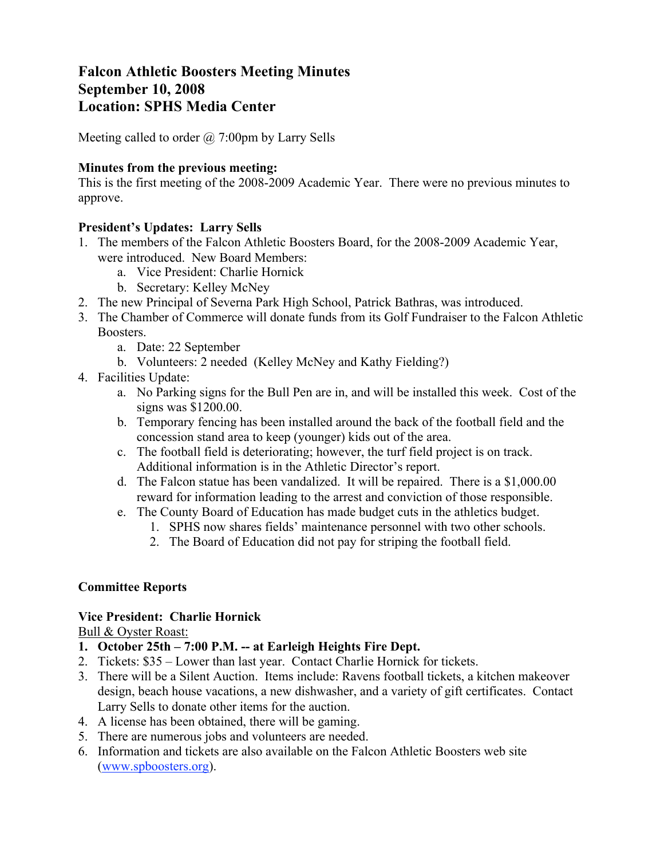# **Falcon Athletic Boosters Meeting Minutes September 10, 2008 Location: SPHS Media Center**

Meeting called to order  $\omega$  7:00pm by Larry Sells

#### **Minutes from the previous meeting:**

This is the first meeting of the 2008-2009 Academic Year. There were no previous minutes to approve.

#### **President's Updates: Larry Sells**

- 1. The members of the Falcon Athletic Boosters Board, for the 2008-2009 Academic Year, were introduced. New Board Members:
	- a. Vice President: Charlie Hornick
	- b. Secretary: Kelley McNey
- 2. The new Principal of Severna Park High School, Patrick Bathras, was introduced.
- 3. The Chamber of Commerce will donate funds from its Golf Fundraiser to the Falcon Athletic Boosters.
	- a. Date: 22 September
	- b. Volunteers: 2 needed (Kelley McNey and Kathy Fielding?)
- 4. Facilities Update:
	- a. No Parking signs for the Bull Pen are in, and will be installed this week. Cost of the signs was \$1200.00.
	- b. Temporary fencing has been installed around the back of the football field and the concession stand area to keep (younger) kids out of the area.
	- c. The football field is deteriorating; however, the turf field project is on track. Additional information is in the Athletic Director's report.
	- d. The Falcon statue has been vandalized. It will be repaired. There is a \$1,000.00 reward for information leading to the arrest and conviction of those responsible.
	- e. The County Board of Education has made budget cuts in the athletics budget.
		- 1. SPHS now shares fields' maintenance personnel with two other schools.
		- 2. The Board of Education did not pay for striping the football field.

#### **Committee Reports**

#### **Vice President: Charlie Hornick**

Bull & Oyster Roast:

- **1. October 25th 7:00 P.M. -- at Earleigh Heights Fire Dept.**
- 2. Tickets: \$35 Lower than last year. Contact Charlie Hornick for tickets.
- 3. There will be a Silent Auction. Items include: Ravens football tickets, a kitchen makeover design, beach house vacations, a new dishwasher, and a variety of gift certificates. Contact Larry Sells to donate other items for the auction.
- 4. A license has been obtained, there will be gaming.
- 5. There are numerous jobs and volunteers are needed.
- 6. Information and tickets are also available on the Falcon Athletic Boosters web site (www.spboosters.org).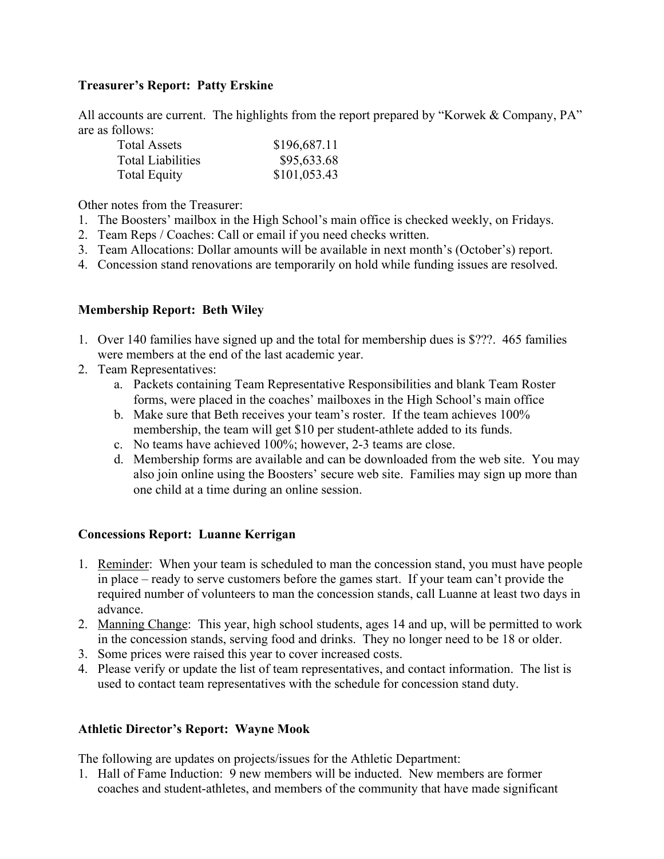# **Treasurer's Report: Patty Erskine**

All accounts are current. The highlights from the report prepared by "Korwek & Company, PA" are as follows:

| <b>Total Assets</b>      | \$196,687.11 |
|--------------------------|--------------|
| <b>Total Liabilities</b> | \$95,633.68  |
| <b>Total Equity</b>      | \$101,053.43 |

Other notes from the Treasurer:

- 1. The Boosters' mailbox in the High School's main office is checked weekly, on Fridays.
- 2. Team Reps / Coaches: Call or email if you need checks written.
- 3. Team Allocations: Dollar amounts will be available in next month's (October's) report.
- 4. Concession stand renovations are temporarily on hold while funding issues are resolved.

# **Membership Report: Beth Wiley**

- 1. Over 140 families have signed up and the total for membership dues is \$???. 465 families were members at the end of the last academic year.
- 2. Team Representatives:
	- a. Packets containing Team Representative Responsibilities and blank Team Roster forms, were placed in the coaches' mailboxes in the High School's main office
	- b. Make sure that Beth receives your team's roster. If the team achieves 100% membership, the team will get \$10 per student-athlete added to its funds.
	- c. No teams have achieved 100%; however, 2-3 teams are close.
	- d. Membership forms are available and can be downloaded from the web site. You may also join online using the Boosters' secure web site. Families may sign up more than one child at a time during an online session.

# **Concessions Report: Luanne Kerrigan**

- 1. Reminder: When your team is scheduled to man the concession stand, you must have people in place – ready to serve customers before the games start. If your team can't provide the required number of volunteers to man the concession stands, call Luanne at least two days in advance.
- 2. Manning Change: This year, high school students, ages 14 and up, will be permitted to work in the concession stands, serving food and drinks. They no longer need to be 18 or older.
- 3. Some prices were raised this year to cover increased costs.
- 4. Please verify or update the list of team representatives, and contact information. The list is used to contact team representatives with the schedule for concession stand duty.

# **Athletic Director's Report: Wayne Mook**

The following are updates on projects/issues for the Athletic Department:

1. Hall of Fame Induction: 9 new members will be inducted. New members are former coaches and student-athletes, and members of the community that have made significant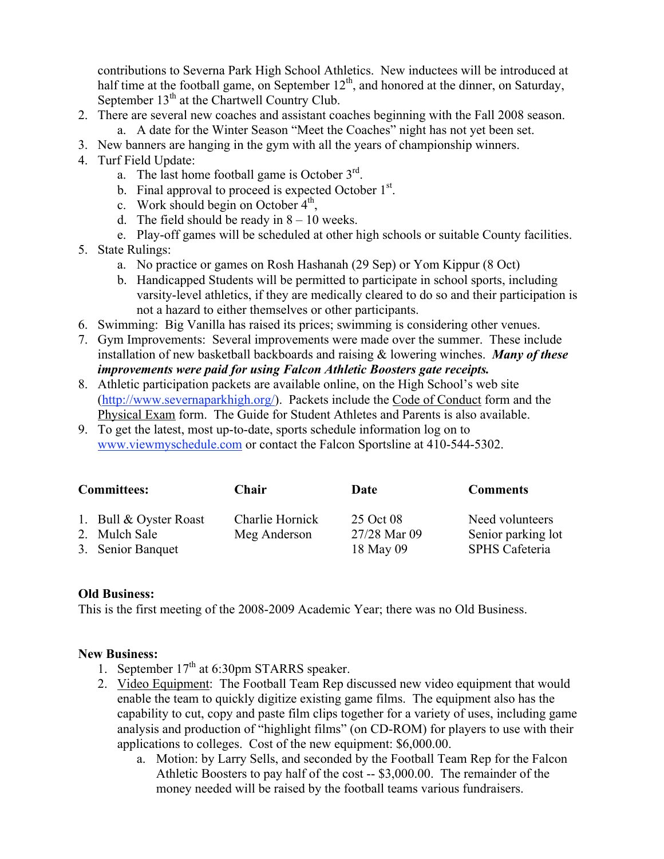contributions to Severna Park High School Athletics. New inductees will be introduced at half time at the football game, on September  $12<sup>th</sup>$ , and honored at the dinner, on Saturday, September  $13<sup>th</sup>$  at the Chartwell Country Club.

- 2. There are several new coaches and assistant coaches beginning with the Fall 2008 season.
	- a. A date for the Winter Season "Meet the Coaches" night has not yet been set.
- 3. New banners are hanging in the gym with all the years of championship winners.
- 4. Turf Field Update:
	- a. The last home football game is October  $3<sup>rd</sup>$ .
	- b. Final approval to proceed is expected October  $1<sup>st</sup>$ .
	- c. Work should begin on October  $4<sup>th</sup>$ ,
	- d. The field should be ready in  $8 10$  weeks.
	- e. Play-off games will be scheduled at other high schools or suitable County facilities.
- 5. State Rulings:
	- a. No practice or games on Rosh Hashanah (29 Sep) or Yom Kippur (8 Oct)
	- b. Handicapped Students will be permitted to participate in school sports, including varsity-level athletics, if they are medically cleared to do so and their participation is not a hazard to either themselves or other participants.
- 6. Swimming: Big Vanilla has raised its prices; swimming is considering other venues.
- 7. Gym Improvements: Several improvements were made over the summer. These include installation of new basketball backboards and raising & lowering winches. *Many of these improvements were paid for using Falcon Athletic Boosters gate receipts.*
- 8. Athletic participation packets are available online, on the High School's web site (http://www.severnaparkhigh.org/). Packets include the Code of Conduct form and the Physical Exam form. The Guide for Student Athletes and Parents is also available.
- 9. To get the latest, most up-to-date, sports schedule information log on to www.viewmyschedule.com or contact the Falcon Sportsline at 410-544-5302.

| <b>Committees:</b> |                                           | Chair                           | Date                      | <b>Comments</b>                       |
|--------------------|-------------------------------------------|---------------------------------|---------------------------|---------------------------------------|
|                    | 1. Bull $& Oyster$ Roast<br>2. Mulch Sale | Charlie Hornick<br>Meg Anderson | 25 Oct 08<br>27/28 Mar 09 | Need volunteers<br>Senior parking lot |
|                    | 3. Senior Banquet                         |                                 | 18 May 09                 | <b>SPHS</b> Cafeteria                 |

# **Old Business:**

This is the first meeting of the 2008-2009 Academic Year; there was no Old Business.

# **New Business:**

- 1. September  $17<sup>th</sup>$  at 6:30pm STARRS speaker.
- 2. Video Equipment: The Football Team Rep discussed new video equipment that would enable the team to quickly digitize existing game films. The equipment also has the capability to cut, copy and paste film clips together for a variety of uses, including game analysis and production of "highlight films" (on CD-ROM) for players to use with their applications to colleges. Cost of the new equipment: \$6,000.00.
	- a. Motion: by Larry Sells, and seconded by the Football Team Rep for the Falcon Athletic Boosters to pay half of the cost -- \$3,000.00. The remainder of the money needed will be raised by the football teams various fundraisers.